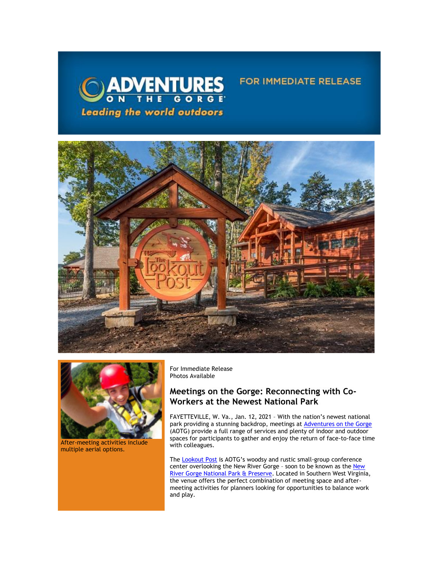





After-meeting activities include multiple aerial options.

For Immediate Release Photos Available

# **Meetings on the Gorge: Reconnecting with Co-Workers at the Newest National Park**

FAYETTEVILLE, W. Va., Jan. 12, 2021 – With the nation's newest national park providing a stunning backdrop, meetings at **Adventures on the Gorge** (AOTG) provide a full range of services and plenty of indoor and outdoor spaces for participants to gather and enjoy the return of face-to-face time with colleagues.

FOR IMMEDIATE RELEASE

The [Lookout Post](https://click.icptrack.com/icp/relay.php?r=13440961&msgid=470341&act=3SPQ&c=1378153&destination=https%3A%2F%2Fadventuresonthegorge.com%2Fgroups-meetings%2F&cf=13608&v=16b01e710476cb1039e3c695c9b989db377ceff40938082b41d88544b0ed0150) is AOTG's woodsy and rustic small-group conference center overlooking the New River Gorge – soon to be known as th[e New](https://click.icptrack.com/icp/relay.php?r=13440961&msgid=470341&act=3SPQ&c=1378153&destination=https%3A%2F%2Fwww.nps.gov%2Fneri%2Findex.htm&cf=13608&v=7a55c2f9fbd36050fd920611b4f9f5233236fe343627cd8afd59cdc1b46b572d)  [River Gorge National Park & Preserve.](https://click.icptrack.com/icp/relay.php?r=13440961&msgid=470341&act=3SPQ&c=1378153&destination=https%3A%2F%2Fwww.nps.gov%2Fneri%2Findex.htm&cf=13608&v=7a55c2f9fbd36050fd920611b4f9f5233236fe343627cd8afd59cdc1b46b572d) Located in Southern West Virginia, the venue offers the perfect combination of meeting space and aftermeeting activities for planners looking for opportunities to balance work and play.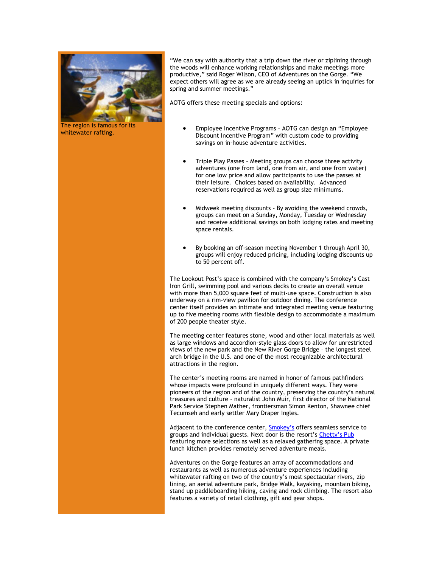

The region is famous for its whitewater rafting.

"We can say with authority that a trip down the river or ziplining through the woods will enhance working relationships and make meetings more productive," said Roger Wilson, CEO of Adventures on the Gorge. "We expect others will agree as we are already seeing an uptick in inquiries for spring and summer meetings."

AOTG offers these meeting specials and options:

- Employee Incentive Programs AOTG can design an "Employee Discount Incentive Program" with custom code to providing savings on in-house adventure activities.
- Triple Play Passes Meeting groups can choose three activity adventures (one from land, one from air, and one from water) for one low price and allow participants to use the passes at their leisure. Choices based on availability. Advanced reservations required as well as group size minimums.
- Midweek meeting discounts By avoiding the weekend crowds, groups can meet on a Sunday, Monday, Tuesday or Wednesday and receive additional savings on both lodging rates and meeting space rentals.
- By booking an off-season meeting November 1 through April 30, groups will enjoy reduced pricing, including lodging discounts up to 50 percent off.

The Lookout Post's space is combined with the company's Smokey's Cast Iron Grill, swimming pool and various decks to create an overall venue with more than 5,000 square feet of multi-use space. Construction is also underway on a rim-view pavilion for outdoor dining. The conference center itself provides an intimate and integrated meeting venue featuring up to five meeting rooms with flexible design to accommodate a maximum of 200 people theater style.

The meeting center features stone, wood and other local materials as well as large windows and accordion-style glass doors to allow for unrestricted views of the new park and the New River Gorge Bridge – the longest steel arch bridge in the U.S. and one of the most recognizable architectural attractions in the region.

The center's meeting rooms are named in honor of famous pathfinders whose impacts were profound in uniquely different ways. They were pioneers of the region and of the country, preserving the country's natural treasures and culture – naturalist John Muir, first director of the National Park Service Stephen Mather, frontiersman Simon Kenton, Shawnee chief Tecumseh and early settler Mary Draper Ingles.

Adjacent to the conference center, [Smokey's](https://click.icptrack.com/icp/relay.php?r=13440961&msgid=470341&act=3SPQ&c=1378153&destination=https%3A%2F%2Fwww.adventuresonthegorge.com%2Fdining%2Fsmokeys-gorge&cf=13608&v=d54faea0964e9742f15872dc27a7f8c038c838986674d85e6a7fa775b49d5fbf) offers seamless service to groups and individual guests. Next door is the resort's [Chetty's Pub](https://click.icptrack.com/icp/relay.php?r=13440961&msgid=470341&act=3SPQ&c=1378153&destination=https%3A%2F%2Fwww.adventuresonthegorge.com%2Fdining%2Fchettys-pub&cf=13608&v=67cd3aa9c7161c41ba460e710339d4926a2f4a2f24c0eef127adbfc6e363a48c) featuring more selections as well as a relaxed gathering space. A private lunch kitchen provides remotely served adventure meals.

Adventures on the Gorge features an array of accommodations and restaurants as well as numerous adventure experiences including whitewater rafting on two of the country's most spectacular rivers, zip lining, an aerial adventure park, Bridge Walk, kayaking, mountain biking, stand up paddleboarding hiking, caving and rock climbing. The resort also features a variety of retail clothing, gift and gear shops.